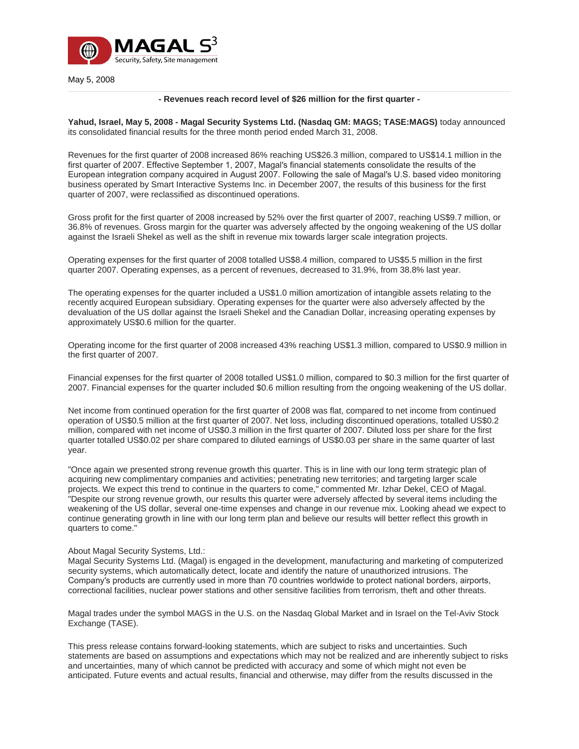

May 5, 2008

### **- Revenues reach record level of \$26 million for the first quarter -**

**Yahud, Israel, May 5, 2008 - Magal Security Systems Ltd. (Nasdaq GM: MAGS; TASE:MAGS)** today announced its consolidated financial results for the three month period ended March 31, 2008.

Revenues for the first quarter of 2008 increased 86% reaching US\$26.3 million, compared to US\$14.1 million in the first quarter of 2007. Effective September 1, 2007, Magal′s financial statements consolidate the results of the European integration company acquired in August 2007. Following the sale of Magal′s U.S. based video monitoring business operated by Smart Interactive Systems Inc. in December 2007, the results of this business for the first quarter of 2007, were reclassified as discontinued operations.

Gross profit for the first quarter of 2008 increased by 52% over the first quarter of 2007, reaching US\$9.7 million, or 36.8% of revenues. Gross margin for the quarter was adversely affected by the ongoing weakening of the US dollar against the Israeli Shekel as well as the shift in revenue mix towards larger scale integration projects.

Operating expenses for the first quarter of 2008 totalled US\$8.4 million, compared to US\$5.5 million in the first quarter 2007. Operating expenses, as a percent of revenues, decreased to 31.9%, from 38.8% last year.

The operating expenses for the quarter included a US\$1.0 million amortization of intangible assets relating to the recently acquired European subsidiary. Operating expenses for the quarter were also adversely affected by the devaluation of the US dollar against the Israeli Shekel and the Canadian Dollar, increasing operating expenses by approximately US\$0.6 million for the quarter.

Operating income for the first quarter of 2008 increased 43% reaching US\$1.3 million, compared to US\$0.9 million in the first quarter of 2007.

Financial expenses for the first quarter of 2008 totalled US\$1.0 million, compared to \$0.3 million for the first quarter of 2007. Financial expenses for the quarter included \$0.6 million resulting from the ongoing weakening of the US dollar.

Net income from continued operation for the first quarter of 2008 was flat, compared to net income from continued operation of US\$0.5 million at the first quarter of 2007. Net loss, including discontinued operations, totalled US\$0.2 million, compared with net income of US\$0.3 million in the first quarter of 2007. Diluted loss per share for the first quarter totalled US\$0.02 per share compared to diluted earnings of US\$0.03 per share in the same quarter of last year.

"Once again we presented strong revenue growth this quarter. This is in line with our long term strategic plan of acquiring new complimentary companies and activities; penetrating new territories; and targeting larger scale projects. We expect this trend to continue in the quarters to come," commented Mr. Izhar Dekel, CEO of Magal. "Despite our strong revenue growth, our results this quarter were adversely affected by several items including the weakening of the US dollar, several one-time expenses and change in our revenue mix. Looking ahead we expect to continue generating growth in line with our long term plan and believe our results will better reflect this growth in quarters to come."

#### About Magal Security Systems, Ltd.:

Magal Security Systems Ltd. (Magal) is engaged in the development, manufacturing and marketing of computerized security systems, which automatically detect, locate and identify the nature of unauthorized intrusions. The Company′s products are currently used in more than 70 countries worldwide to protect national borders, airports, correctional facilities, nuclear power stations and other sensitive facilities from terrorism, theft and other threats.

Magal trades under the symbol MAGS in the U.S. on the Nasdaq Global Market and in Israel on the Tel-Aviv Stock Exchange (TASE).

This press release contains forward-looking statements, which are subject to risks and uncertainties. Such statements are based on assumptions and expectations which may not be realized and are inherently subject to risks and uncertainties, many of which cannot be predicted with accuracy and some of which might not even be anticipated. Future events and actual results, financial and otherwise, may differ from the results discussed in the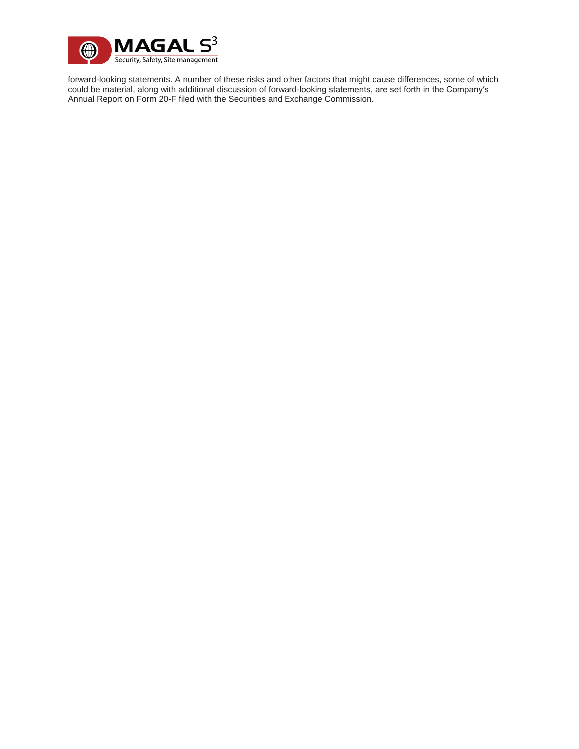

forward-looking statements. A number of these risks and other factors that might cause differences, some of which could be material, along with additional discussion of forward-looking statements, are set forth in the Company′s Annual Report on Form 20-F filed with the Securities and Exchange Commission.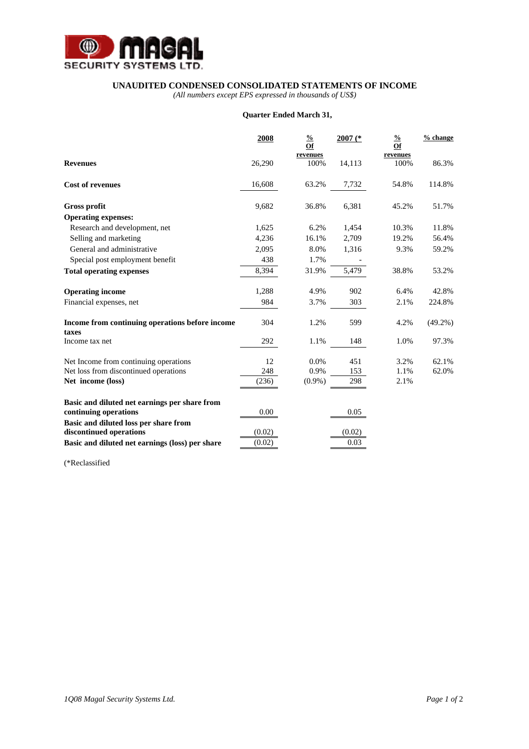

### **UNAUDITED CONDENSED CONSOLIDATED STATEMENTS OF INCOME**

*(All numbers except EPS expressed in thousands of US\$)* 

## **Quarter Ended March 31,**

|                                                                        | 2008   | $\frac{0}{0}$<br>Of | $2007$ (* | $\frac{0}{0}$<br>Of | $%$ change |
|------------------------------------------------------------------------|--------|---------------------|-----------|---------------------|------------|
| <b>Revenues</b>                                                        | 26,290 | revenues<br>100%    | 14,113    | revenues<br>100%    | 86.3%      |
| <b>Cost of revenues</b>                                                | 16,608 | 63.2%               | 7,732     | 54.8%               | 114.8%     |
| <b>Gross profit</b>                                                    | 9,682  | 36.8%               | 6,381     | 45.2%               | 51.7%      |
| <b>Operating expenses:</b>                                             |        |                     |           |                     |            |
| Research and development, net                                          | 1,625  | 6.2%                | 1,454     | 10.3%               | 11.8%      |
| Selling and marketing                                                  | 4,236  | 16.1%               | 2,709     | 19.2%               | 56.4%      |
| General and administrative                                             | 2,095  | 8.0%                | 1,316     | 9.3%                | 59.2%      |
| Special post employment benefit                                        | 438    | 1.7%                |           |                     |            |
| <b>Total operating expenses</b>                                        | 8,394  | 31.9%               | 5,479     | 38.8%               | 53.2%      |
| <b>Operating income</b>                                                | 1,288  | 4.9%                | 902       | 6.4%                | 42.8%      |
| Financial expenses, net                                                | 984    | 3.7%                | 303       | 2.1%                | 224.8%     |
| Income from continuing operations before income<br>taxes               | 304    | 1.2%                | 599       | 4.2%                | $(49.2\%)$ |
| Income tax net                                                         | 292    | 1.1%                | 148       | 1.0%                | 97.3%      |
| Net Income from continuing operations                                  | 12     | 0.0%                | 451       | 3.2%                | 62.1%      |
| Net loss from discontinued operations                                  | 248    | 0.9%                | 153       | 1.1%                | 62.0%      |
| Net income (loss)                                                      | (236)  | $(0.9\%)$           | 298       | 2.1%                |            |
| Basic and diluted net earnings per share from<br>continuing operations | 0.00   |                     | 0.05      |                     |            |
| Basic and diluted loss per share from<br>discontinued operations       | (0.02) |                     | (0.02)    |                     |            |
| Basic and diluted net earnings (loss) per share                        | (0.02) |                     | 0.03      |                     |            |

(\*Reclassified